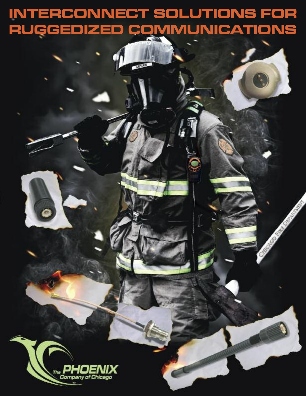# **INTERCONNECT SOLUTIONS FOR RUGGEDIZED COMMUNICATIONS**

**Contract Contract Contract Contract Contract Contract Contract Contract Contract Contract Contract Contract C** 

**RUME** 

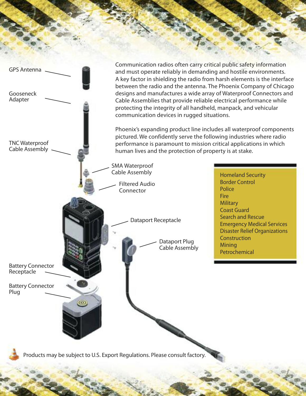Communication radios often carry critical public safety information GPS Antenna and must operate reliably in demanding and hostile environments. A key factor in shielding the radio from harsh elements is the interface between the radio and the antenna. The Phoenix Company of Chicago **Gooseneck** designs and manufactures a wide array of Waterproof Connectors and Adapter Cable Assemblies that provide reliable electrical performance while protecting the integrity of all handheld, manpack, and vehicular communication devices in rugged situations. Phoenix's expanding product line includes all waterproof components pictured. We confidently serve the following industries where radio TNC Waterproof performance is paramount to mission critical applications in which Cable Assembly human lives and the protection of property is at stake. SMA Waterproof Cable Assembly Homeland Security Border Control Filtered Audio Police Connector **Fire Military** Coast Guard Search and Rescue Dataport Receptacle Emergency Medical Services Disaster Relief Organizations **Construction** Dataport Plug **Mining** Cable Assembly Petrochemical Battery Connector Receptacle Battery Connector Plug $\circ$ Products may be subject to U.S. Export Regulations. Please consult factory.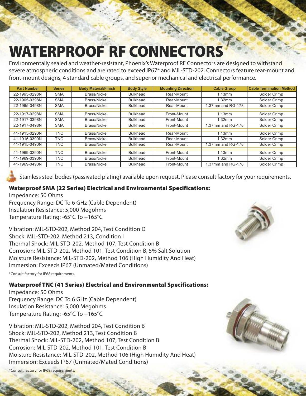# **WATERPROOF RF CONNECTORS**

Environmentally sealed and weather-resistant, Phoenix's Waterproof RF Connectors are designed to withstand severe atmospheric conditions and are rated to exceed IP67\* and MIL-STD-202. Connectors feature rear-mount and front-mount designs, 4 standard cable groups, and superior mechanical and electrical performance.

| <b>Part Number</b> | <b>Series</b> | <b>Body Material/Finish</b> | <b>Body Style</b> | <b>Mounting Direction</b> | <b>Cable Group</b> | <b>Cable Termination Method</b> |
|--------------------|---------------|-----------------------------|-------------------|---------------------------|--------------------|---------------------------------|
| 22-1965-0298N      | <b>SMA</b>    | Brass/Nickel                | <b>Bulkhead</b>   | Rear-Mount                | 1.13mm             | Solder Crimp                    |
| 22-1965-0398N      | <b>SMA</b>    | Brass/Nickel                | <b>Bulkhead</b>   | Rear-Mount                | 1.32mm             | Solder Crimp                    |
| 22-1965-0498N      | <b>SMA</b>    | Brass/Nickel                | <b>Bulkhead</b>   | Rear-Mount                | 1.37mm and RG-178  | Solder Crimp                    |
|                    |               |                             |                   |                           |                    |                                 |
| 22-1917-0298N      | <b>SMA</b>    | Brass/Nickel                | <b>Bulkhead</b>   | Front-Mount               | 1.13mm             | Solder Crimp                    |
| 22-1917-0398N      | <b>SMA</b>    | Brass/Nickel                | <b>Bulkhead</b>   | Front-Mount               | 1.32mm             | Solder Crimp                    |
| 22-1917-0498N      | <b>SMA</b>    | Brass/Nickel                | <b>Bulkhead</b>   | Front-Mount               | 1.37mm and RG-178  | Solder Crimp                    |
|                    |               |                             |                   |                           |                    |                                 |
| 41-1915-0290N      | <b>TNC</b>    | Brass/Nickel                | <b>Bulkhead</b>   | Rear-Mount                | 1.13mm             | Solder Crimp                    |
| 41-1915-0390N      | TNC.          | Brass/Nickel                | <b>Bulkhead</b>   | Rear-Mount                | 1.32mm             | Solder Crimp                    |
| 41-1915-0490N      | <b>TNC</b>    | Brass/Nickel                | <b>Bulkhead</b>   | Rear-Mount                | 1.37mm and RG-178  | Solder Crimp                    |
|                    |               |                             |                   |                           |                    |                                 |
| 41-1969-0290N      | TNC.          | Brass/Nickel                | <b>Bulkhead</b>   | Front-Mount               | 1.13mm             | Solder Crimp                    |
| 41-1969-0390N      | TNC.          | Brass/Nickel                | <b>Bulkhead</b>   | Front-Mount               | 1.32mm             | Solder Crimp                    |
| 41-1969-0490N      | TNC.          | Brass/Nickel                | <b>Bulkhead</b>   | Front-Mount               | 1.37mm and RG-178  | Solder Crimp                    |

Stainless steel bodies (passivated plating) available upon request. Please consult factory for your requirements.

#### **Waterproof SMA (22 Series) Electrical and Environmental Specifications:**

Impedance: 50 Ohms Frequency Range: DC To 6 GHz (Cable Dependent) Insulation Resistance: 5,000 Megohms Temperature Rating: -65°C To +165°C

Vibration: MIL-STD-202, Method 204, Test Condition D Shock: MIL-STD-202, Method 213, Condition I Thermal Shock: MIL-STD-202, Method 107, Test Condition B Corrosion: MIL-STD-202, Method 101, Test Condition B, 5% Salt Solution Moisture Resistance: MIL-STD-202, Method 106 (High Humidity And Heat) Immersion: Exceeds IP67 (Unmated/Mated Conditions)

\*Consult factory for IP68 requirements.

#### **Waterproof TNC (41 Series) Electrical and Environmental Specifications:**

Impedance: 50 Ohms Frequency Range: DC To 6 GHz (Cable Dependent) Insulation Resistance: 5,000 Megohms Temperature Rating: -65°C To +165°C

Vibration: MIL-STD-202, Method 204, Test Condition B Shock: MIL-STD-202, Method 213, Test Condition B Thermal Shock: MIL-STD-202, Method 107, Test Condition B Corrosion: MIL-STD-202, Method 101, Test Condition B Moisture Resistance: MIL-STD-202, Method 106 (High Humidity And Heat) Immersion: Exceeds IP67 (Unmated/Mated Conditions)

\*Consult factory for IP68 requirements.



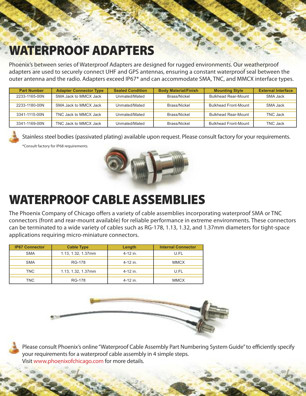### **WATERPROOF ADAPTERS**

Phoenix's between series of Waterproof Adapters are designed for rugged environments. Our weatherproof adapters are used to securely connect UHF and GPS antennas, ensuring a constant waterproof seal between the outer antenna and the radio. Adapters exceed IP67\* and can accommodate SMA, TNC, and MMCX interface types.

| <b>Part Number</b> | <b>Adapter Connector Type</b> | <b>Sealed Condition</b> | <b>Body Material/Finish</b> | <b>Mounting Style</b>       | <b>External Interface</b> |
|--------------------|-------------------------------|-------------------------|-----------------------------|-----------------------------|---------------------------|
| 2233-1165-00N      | SMA Jack to MMCX Jack         | Unmated/Mated           | Brass/Nickel                | <b>Bulkhead Rear-Mount</b>  | SMA Jack                  |
|                    |                               |                         |                             |                             |                           |
| 2233-1180-00N      | SMA Jack to MMCX Jack         | Unmated/Mated           | Brass/Nickel                | <b>Bulkhead Front-Mount</b> | SMA Jack                  |
|                    |                               |                         |                             |                             |                           |
| 3341-1115-00N      | TNC Jack to MMCX Jack         | Unmated/Mated           | Brass/Nickel                | <b>Bulkhead Rear-Mount</b>  | TNC Jack                  |
|                    |                               |                         |                             |                             |                           |
| 3341-1169-00N      | TNC Jack to MMCX Jack         | Unmated/Mated           | Brass/Nickel                | <b>Bulkhead Front-Mount</b> | TNC Jack                  |

Stainless steel bodies (passivated plating) available upon request. Please consult factory for your requirements. \*Consult factory for IP68 requirements.



### **WATERPROOF CABLE ASSEMBLIES**

The Phoenix Company of Chicago offers a variety of cable assemblies incorporating waterproof SMA or TNC connectors (front and rear-mount available) for reliable performance in extreme environments. These connectors can be terminated to a wide variety of cables such as RG-178, 1.13, 1.32, and 1.37mm diameters for tight-space applications requiring micro-miniature connectors.

| <b>IP67 Connector</b> | <b>Cable Type</b>  | Length     | <b>Internal Connector</b> |
|-----------------------|--------------------|------------|---------------------------|
| <b>SMA</b>            | 1.13, 1.32, 1.37mm | $4-12$ in. | U.FL                      |
|                       |                    |            |                           |
| <b>SMA</b>            | <b>RG-178</b>      | 4-12 in.   | <b>MMCX</b>               |
|                       |                    |            |                           |
| <b>TNC</b>            | 1.13, 1.32, 1.37mm | 4-12 in.   | U.FL                      |
|                       |                    |            |                           |
| <b>TNC</b>            | <b>RG-178</b>      | 4-12 in.   | <b>MMCX</b>               |



Please consult Phoenix's online"Waterproof Cable Assembly Part Numbering System Guide"to efficiently specify your requirements for a waterproof cable assembly in 4 simple steps. Visit www.phoenixofchicago.com for more details.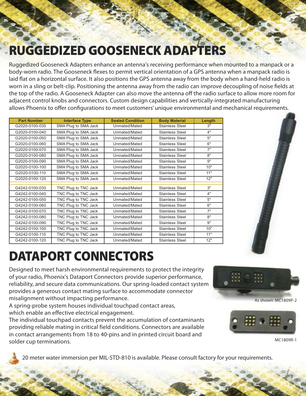## **RUGGEDIZED GOOSENECK ADAPTERS**

Ruggedized Gooseneck Adapters enhance an antenna's receiving performance when mounted to a manpack or a body-worn radio. The Gooseneck flexes to permit vertical orientation of a GPS antenna when a manpack radio is laid flat on a horizontal surface. It also positions the GPS antenna away from the body when a hand-held radio is worn in a sling or belt-clip. Positioning the antenna away from the radio can improve decoupling of noise fields at the top of the radio. A Gooseneck Adapter can also move the antenna off the radio surface to allow more room for adjacent control knobs and connectors. Custom design capabilities and vertically-integrated manufacturing allows Phoenix to offer configurations to meet customers'unique environmental and mechanical requirements.

| <b>Part Number</b> | <b>Interface Type</b> | <b>Sealed Condition</b> | <b>Body Material</b>   | Length |
|--------------------|-----------------------|-------------------------|------------------------|--------|
| G2020-0100-030     | SMA Plug to SMA Jack  | Unmated/Mated           | <b>Stainless Steel</b> | 3"     |
| G2020-0100-040     | SMA Plug to SMA Jack  | Unmated/Mated           | <b>Stainless Steel</b> | 4"     |
| G2020-0100-050     | SMA Plug to SMA Jack  | Unmated/Mated           | <b>Stainless Steel</b> | 5"     |
| G2020-0100-060     | SMA Plug to SMA Jack  | Unmated/Mated           | <b>Stainless Steel</b> | 6"     |
| G2020-0100-070     | SMA Plug to SMA Jack  | Unmated/Mated           | <b>Stainless Steel</b> | 7"     |
| G2020-0100-080     | SMA Plug to SMA Jack  | Unmated/Mated           | <b>Stainless Steel</b> | 8"     |
| G2020-0100-090     | SMA Plug to SMA Jack  | Unmated/Mated           | <b>Stainless Steel</b> | 9"     |
| G2020-0100-100     | SMA Plug to SMA Jack  | Unmated/Mated           | <b>Stainless Steel</b> | 10"    |
| G2020-0100-110     | SMA Plug to SMA Jack  | Unmated/Mated           | <b>Stainless Steel</b> | 11"    |
| G2020-0100-120     | SMA Plug to SMA Jack  | Unmated/Mated           | <b>Stainless Steel</b> | 12"    |
|                    |                       |                         |                        |        |
| G4242-0100-030     | TNC Plug to TNC Jack  | Unmated/Mated           | Stainless Steel        | 3"     |
| G4242-0100-040     | TNC Plug to TNC Jack  | Unmated/Mated           | <b>Stainless Steel</b> | 4"     |
| G4242-0100-050     | TNC Plug to TNC Jack  | Unmated/Mated           | <b>Stainless Steel</b> | 5"     |
| G4242-0100-060     | TNC Plug to TNC Jack  | Unmated/Mated           | <b>Stainless Steel</b> | 6"     |
| G4242-0100-070     | TNC Plug to TNC Jack  | Unmated/Mated           | <b>Stainless Steel</b> | 7"     |
| G4242-0100-080     | TNC Plug to TNC Jack  | Unmated/Mated           | <b>Stainless Steel</b> | 8"     |
| G4242-0100-090     | TNC Plug to TNC Jack  | Unmated/Mated           | <b>Stainless Steel</b> | 9"     |
| G4242-0100-100     | TNC Plug to TNC Jack  | Unmated/Mated           | <b>Stainless Steel</b> | 10"    |
| G4242-0100-110     | TNC Plug to TNC Jack  | Unmated/Mated           | <b>Stainless Steel</b> | 11"    |
| G4242-0100-120     | TNC Plug to TNC Jack  | Unmated/Mated           | Stainless Steel        | 12"    |

# **DATAPORT CONNECTORS**

Designed to meet harsh environmental requirements to protect the integrity of your radio, Phoenix's Dataport Connectors provide superior performance, reliability, and secure data communications. Our spring-loaded contact system provides a generous contact mating surface to accommodate connector misalignment without impacting performance.

A spring-probe system houses individual touchpad contact areas, which enable an effective electrical engagement.

The individual touchpad contacts prevent the accumulation of contaminants providing reliable mating in critical field conditions. Connectors are available in contact arrangements from 18 to 40-pins and in printed circuit board and solder cup terminations.





MC1809R-1

20 meter water immersion per MIL-STD-810 is available. Please consult factory for your requirements.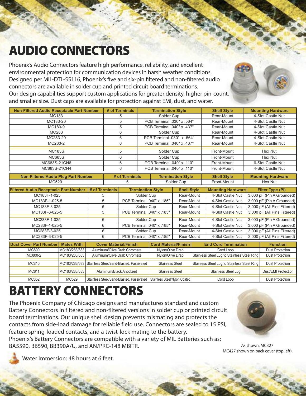# **AUDIO CONNECTORS**

Phoenix's Audio Connectors feature high performance, reliability, and excellent environmental protection for communication devices in harsh weather conditions. Designed per MIL-DTL-55116, Phoenix's five and six-pin filtered and non-filtered audio connectors are available in solder cup and printed circuit board terminations. Our design capabilities support custom applications for greater density, higher pin-count, and smaller size. Dust caps are available for protection against EMI, dust, and water.

| <b>Non-Filtered Audio Receptacle Part Number</b>   |                              | # of Terminals                  | <b>Termination Style</b>    |                          | <b>Shell Style</b>          |                   | <b>Mounting Hardware</b>                        |
|----------------------------------------------------|------------------------------|---------------------------------|-----------------------------|--------------------------|-----------------------------|-------------------|-------------------------------------------------|
| MC183                                              |                              | 5                               | Solder Cup                  |                          | Rear-Mount                  |                   | 4-Slot Castle Nut                               |
| MC183-20                                           |                              | 5                               | PCB Terminal .030" x .564"  |                          | Rear-Mount                  |                   | 4-Slot Castle Nut                               |
| MC183-9                                            |                              | 5<br>PCB Terminal .040" x .437" |                             | Rear-Mount               |                             | 4-Slot Castle Nut |                                                 |
| MC283                                              |                              | 6<br>Solder Cup                 |                             | Rear-Mount               |                             | 4-Slot Castle Nut |                                                 |
| MC283-20                                           |                              | PCB Terminal .030" x .564"<br>6 |                             | Rear-Mount               |                             | 4-Slot Castle Nut |                                                 |
| MC283-2                                            |                              | 6                               | PCB Terminal .040" x .437"  |                          | Rear-Mount                  |                   | 4-Slot Castle Nut                               |
| <b>MC183S</b>                                      |                              | 5                               | Solder Cup                  |                          | Front-Mount                 |                   | Hex Nut                                         |
| MC683S                                             |                              | 6                               | Solder Cup                  |                          | Front-Mount                 |                   | Hex Nut                                         |
| MC683S-21CN6                                       |                              | 6                               | PCB Terminal .040" x .110"  |                          | Front-Mount                 |                   | 6-Slot Castle Nut                               |
| MC683S-21CN4                                       |                              | 6<br>PCB Terminal .040" x .110" |                             | Front-Mount              | 4-Slot Castle Nut           |                   |                                                 |
| <b>Non-Filtered Audio Plug Part Number</b>         |                              | # of Terminals                  |                             | <b>Termination Style</b> | <b>Shell Style</b>          |                   | <b>Mounting Hardware</b>                        |
| MC529                                              |                              | 6                               |                             | Solder Cup               | Front-Mount                 |                   | Hex Nut                                         |
| <b>Filtered Audio Receptacle Part Number</b>       | # of Terminals               | <b>Termination Style</b>        |                             | <b>Shell Style</b>       | <b>Mounting Hardware</b>    |                   | <b>Filter Type (Pi)</b>                         |
| MC183F-1-025                                       | 5                            |                                 |                             |                          |                             |                   |                                                 |
|                                                    |                              |                                 |                             |                          |                             |                   |                                                 |
|                                                    |                              | Solder Cup                      |                             | Rear-Mount               | 4-Slot Castle Nut           |                   | 3,000 pF (Pin A Grounded)                       |
| MC183F-1-025-5                                     | 5                            | PCB Terminal .040" x .185"      |                             | Rear-Mount               | 4-Slot Castle Nut           |                   | 3,000 pF (Pin A Grounded)                       |
| MC183F-3-025                                       | 5                            | Solder Cup                      |                             | Rear-Mount               | 4-Slot Castle Nut           |                   | 3,000 pF (All Pins Filtered)                    |
| MC183F-3-025-5                                     | 5                            | PCB Terminal .040" x .185"      |                             | Rear-Mount               | 4-Slot Castle Nut           |                   | 3,000 pF (All Pins Filtered)                    |
| MC283F-1-025                                       | 6                            | Solder Cup                      |                             | Rear-Mount               | 4-Slot Castle Nut           |                   | 3,000 pF (Pin A Grounded)                       |
| MC283F-1-025-5                                     | 6                            | PCB Terminal .040" x .185"      |                             | Rear-Mount               | 4-Slot Castle Nut           |                   | 3,000 pF (Pin A Grounded)                       |
| MC283F-3-025                                       | 6                            | Solder Cup                      |                             | Rear-Mount               | 4-Slot Castle Nut           |                   | 3,000 pF (All Pins Filtered)                    |
| MC283F-3-025-5                                     | 6                            | PCB Terminal .040" x .185"      |                             | Rear-Mount               | 4-Slot Castle Nut           |                   |                                                 |
| <b>Mates With</b><br><b>Dust Cover Part Number</b> | <b>Cover Material/Finish</b> |                                 | <b>Cord Material/Finish</b> |                          | <b>End Cord Termination</b> |                   | 3,000 pF (All Pins Filtered)<br><b>Function</b> |

| <b>MC800</b> | IMC183/283/683   | Aluminum/Olive Drab Chromate                                              | Nylon/Olive Drab       | Cord Loop                                   | <b>Dust Protection</b> |
|--------------|------------------|---------------------------------------------------------------------------|------------------------|---------------------------------------------|------------------------|
| MC800-2      | MC183/283/683    | Aluminum/Olive Drab Chromate                                              | Nylon/Olive Drab       | Stainless Steel Lug to Stainless Steel Ring | <b>Dust Protection</b> |
|              |                  |                                                                           |                        |                                             |                        |
| MC810        |                  | MC183/283/683 Stainless Steel/Sand-Blasted, Passivated                    | <b>Stainless Steel</b> | Stainless Steel Lug to Stainless Steel Ring | <b>Dust Protection</b> |
|              |                  |                                                                           |                        |                                             |                        |
| MC811        | IMC183/283/683 I | Aluminum/Black Anodized                                                   | <b>Stainless Steel</b> | Stainless Steel Lug                         | Dust/EMI Protection    |
|              |                  |                                                                           |                        |                                             |                        |
| MC852        | MC529            | Stainless Steel/Sand-Blasted. Passivated I Stainless Steel/Nylon Coated I |                        | Cord Loop                                   | <b>Dust Protection</b> |

## **BATTERY CONNECTORS**

The Phoenix Company of Chicago designs and manufactures standard and custom Battery Connectors in filtered and non-filtered versions in solder cup or printed circuit board terminations. Our unique shell design prevents mismating and protects the contacts from side-load damage for reliable field use. Connectors are sealed to 15 PSI, feature spring-loaded contacts, and a twist-lock mating to the battery. Phoenix's Battery Connectors are compatible with a variety of MIL Batteries such as: BA5590, BB590, BB390A/U, and AN/PRC-148 MBITR.



As shown: MC327 MC427 shown on back cover (top left).